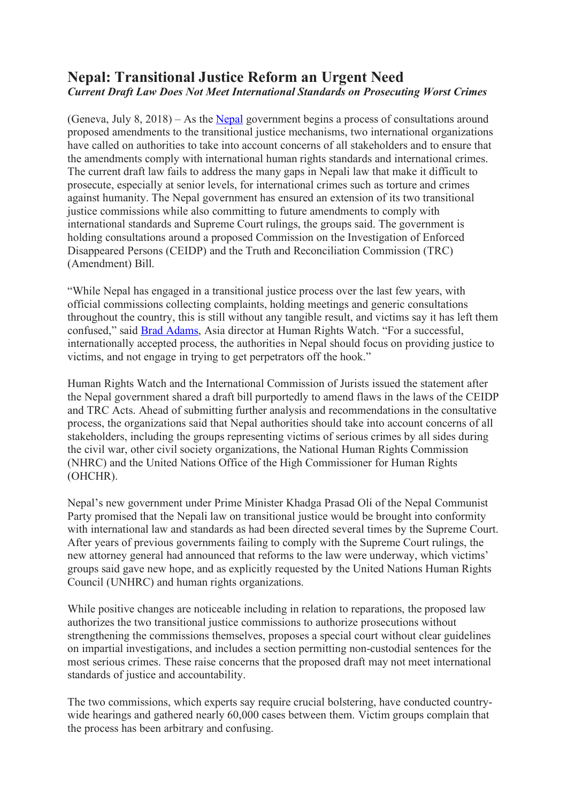# **Nepal: Transitional Justice Reform an Urgent Need** *Current Draft Law Does Not Meet International Standards on Prosecuting Worst Crimes*

(Geneva, July 8, 2018) – As the Nepal government begins a process of consultations around proposed amendments to the transitional justice mechanisms, two international organizations have called on authorities to take into account concerns of all stakeholders and to ensure that the amendments comply with international human rights standards and international crimes. The current draft law fails to address the many gaps in Nepali law that make it difficult to prosecute, especially at senior levels, for international crimes such as torture and crimes against humanity. The Nepal government has ensured an extension of its two transitional justice commissions while also committing to future amendments to comply with international standards and Supreme Court rulings, the groups said. The government is holding consultations around a proposed Commission on the Investigation of Enforced Disappeared Persons (CEIDP) and the Truth and Reconciliation Commission (TRC) (Amendment) Bill.

"While Nepal has engaged in a transitional justice process over the last few years, with official commissions collecting complaints, holding meetings and generic consultations throughout the country, this is still without any tangible result, and victims say it has left them confused," said Brad Adams, Asia director at Human Rights Watch. "For a successful, internationally accepted process, the authorities in Nepal should focus on providing justice to victims, and not engage in trying to get perpetrators off the hook."

Human Rights Watch and the International Commission of Jurists issued the statement after the Nepal government shared a draft bill purportedly to amend flaws in the laws of the CEIDP and TRC Acts. Ahead of submitting further analysis and recommendations in the consultative process, the organizations said that Nepal authorities should take into account concerns of all stakeholders, including the groups representing victims of serious crimes by all sides during the civil war, other civil society organizations, the National Human Rights Commission (NHRC) and the United Nations Office of the High Commissioner for Human Rights (OHCHR).

Nepal's new government under Prime Minister Khadga Prasad Oli of the Nepal Communist Party promised that the Nepali law on transitional justice would be brought into conformity with international law and standards as had been directed several times by the Supreme Court. After years of previous governments failing to comply with the Supreme Court rulings, the new attorney general had announced that reforms to the law were underway, which victims' groups said gave new hope, and as explicitly requested by the United Nations Human Rights Council (UNHRC) and human rights organizations.

While positive changes are noticeable including in relation to reparations, the proposed law authorizes the two transitional justice commissions to authorize prosecutions without strengthening the commissions themselves, proposes a special court without clear guidelines on impartial investigations, and includes a section permitting non-custodial sentences for the most serious crimes. These raise concerns that the proposed draft may not meet international standards of justice and accountability.

The two commissions, which experts say require crucial bolstering, have conducted countrywide hearings and gathered nearly 60,000 cases between them. Victim groups complain that the process has been arbitrary and confusing.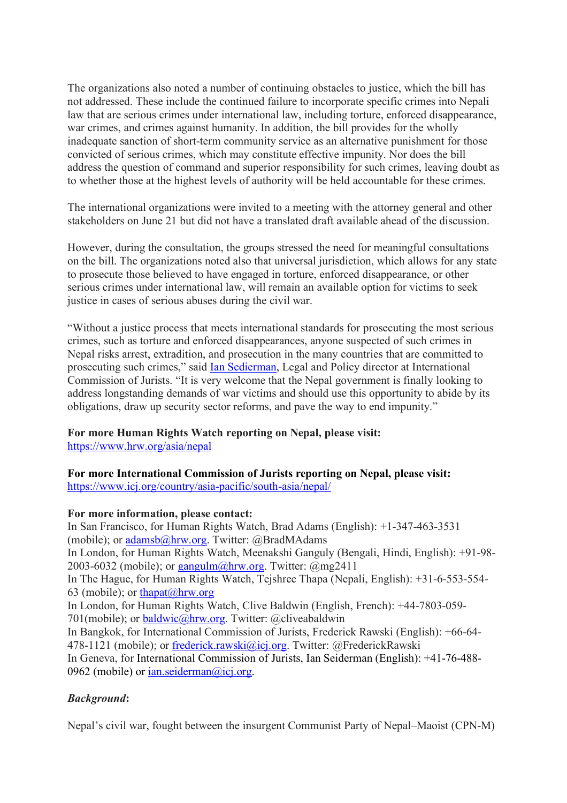The organizations also noted a number of continuing obstacles to justice, which the bill has not addressed. These include the continued failure to incorporate specific crimes into Nepali law that are serious crimes under international law, including torture, enforced disappearance, war crimes, and crimes against humanity. In addition, the bill provides for the wholly inadequate sanction of short-term community service as an alternative punishment for those convicted of serious crimes, which may constitute effective impunity. Nor does the bill address the question of command and superior responsibility for such crimes, leaving doubt as to whether those at the highest levels of authority will be held accountable for these crimes.

The international organizations were invited to a meeting with the attorney general and other stakeholders on June 21 but did not have a translated draft available ahead of the discussion.

However, during the consultation, the groups stressed the need for meaningful consultations on the bill. The organizations noted also that universal jurisdiction, which allows for any state to prosecute those believed to have engaged in torture, enforced disappearance, or other serious crimes under international law, will remain an available option for victims to seek justice in cases of serious abuses during the civil war.

"Without a justice process that meets international standards for prosecuting the most serious crimes, such as torture and enforced disappearances, anyone suspected of such crimes in Nepal risks arrest, extradition, and prosecution in the many countries that are committed to prosecuting such crimes," said Ian Sedierman, Legal and Policy director at International Commission of Jurists. "It is very welcome that the Nepal government is finally looking to address longstanding demands of war victims and should use this opportunity to abide by its obligations, draw up security sector reforms, and pave the way to end impunity."

## **For more Human Rights Watch reporting on Nepal, please visit:**

https://www.hrw.org/asia/nepal

## **For more International Commission of Jurists reporting on Nepal, please visit:**

https://www.icj.org/country/asia-pacific/south-asia/nepal/

### **For more information, please contact:**

In San Francisco, for Human Rights Watch, Brad Adams (English): +1-347-463-3531 (mobile); or adamsb@hrw.org. Twitter: @BradMAdams In London, for Human Rights Watch, Meenakshi Ganguly (Bengali, Hindi, English): +91-98- 2003-6032 (mobile); or  $\frac{gangulm(\omega)hrw.org}{gclm}$ . Twitter:  $(\omega)$ mg2411 In The Hague, for Human Rights Watch, Tejshree Thapa (Nepali, English): +31-6-553-554- 63 (mobile); or thapat $(\omega$ hrw.org In London, for Human Rights Watch, Clive Baldwin (English, French): +44-7803-059- 701(mobile); or **baldwic@hrw.org**. Twitter: @cliveabaldwin In Bangkok, for International Commission of Jurists, Frederick Rawski (English): +66-64- 478-1121 (mobile); or frederick.rawski@icj.org. Twitter: @FrederickRawski In Geneva, for International Commission of Jurists, Ian Seiderman (English): +41-76-488- 0962 (mobile) or  $ian. seiderman@ici.org.$ 

## *Background***:**

Nepal's civil war, fought between the insurgent Communist Party of Nepal–Maoist (CPN-M)